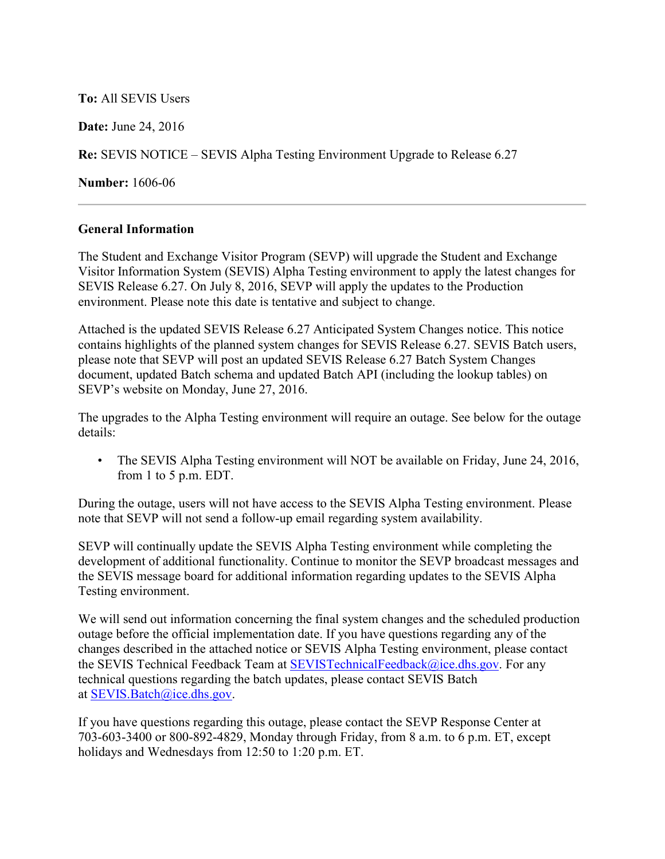**To:** All SEVIS Users

**Date:** June 24, 2016

**Re:** SEVIS NOTICE – SEVIS Alpha Testing Environment Upgrade to Release 6.27

**Number:** 1606-06

## **General Information**

The Student and Exchange Visitor Program (SEVP) will upgrade the Student and Exchange Visitor Information System (SEVIS) Alpha Testing environment to apply the latest changes for SEVIS Release 6.27. On July 8, 2016, SEVP will apply the updates to the Production environment. Please note this date is tentative and subject to change.

Attached is the updated SEVIS Release 6.27 Anticipated System Changes notice. This notice contains highlights of the planned system changes for SEVIS Release 6.27. SEVIS Batch users, please note that SEVP will post an updated SEVIS Release 6.27 Batch System Changes document, updated Batch schema and updated Batch API (including the lookup tables) on SEVP's website on Monday, June 27, 2016.

The upgrades to the Alpha Testing environment will require an outage. See below for the outage details:

• The SEVIS Alpha Testing environment will NOT be available on Friday, June 24, 2016, from 1 to 5 p.m. EDT.

During the outage, users will not have access to the SEVIS Alpha Testing environment. Please note that SEVP will not send a follow-up email regarding system availability.

SEVP will continually update the SEVIS Alpha Testing environment while completing the development of additional functionality. Continue to monitor the SEVP broadcast messages and the SEVIS message board for additional information regarding updates to the SEVIS Alpha Testing environment.

We will send out information concerning the final system changes and the scheduled production outage before the official implementation date. If you have questions regarding any of the changes described in the attached notice or SEVIS Alpha Testing environment, please contact the SEVIS Technical Feedback Team at [SEVISTechnicalFeedback@ice.dhs.gov.](mailto:SEVISTechnicalFeedback@ice.dhs.gov) For any technical questions regarding the batch updates, please contact SEVIS Batch at [SEVIS.Batch@ice.dhs.gov.](mailto:SEVIS.Batch@ice.dhs.gov)

If you have questions regarding this outage, please contact the SEVP Response Center at 703-603-3400 or 800-892-4829, Monday through Friday, from 8 a.m. to 6 p.m. ET, except holidays and Wednesdays from 12:50 to 1:20 p.m. ET.